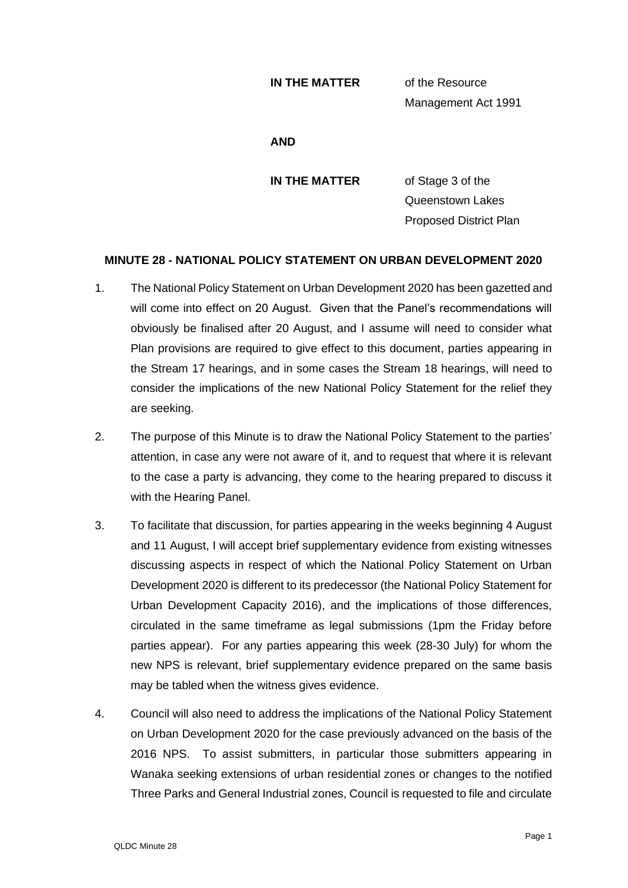## **IN THE MATTER** of the Resource

Management Act 1991

## **AND**

**IN THE MATTER** of Stage 3 of the Queenstown Lakes Proposed District Plan

## **MINUTE 28 - NATIONAL POLICY STATEMENT ON URBAN DEVELOPMENT 2020**

- 1. The National Policy Statement on Urban Development 2020 has been gazetted and will come into effect on 20 August. Given that the Panel's recommendations will obviously be finalised after 20 August, and I assume will need to consider what Plan provisions are required to give effect to this document, parties appearing in the Stream 17 hearings, and in some cases the Stream 18 hearings, will need to consider the implications of the new National Policy Statement for the relief they are seeking.
- 2. The purpose of this Minute is to draw the National Policy Statement to the parties' attention, in case any were not aware of it, and to request that where it is relevant to the case a party is advancing, they come to the hearing prepared to discuss it with the Hearing Panel.
- 3. To facilitate that discussion, for parties appearing in the weeks beginning 4 August and 11 August, I will accept brief supplementary evidence from existing witnesses discussing aspects in respect of which the National Policy Statement on Urban Development 2020 is different to its predecessor (the National Policy Statement for Urban Development Capacity 2016), and the implications of those differences, circulated in the same timeframe as legal submissions (1pm the Friday before parties appear). For any parties appearing this week (28-30 July) for whom the new NPS is relevant, brief supplementary evidence prepared on the same basis may be tabled when the witness gives evidence.
- 4. Council will also need to address the implications of the National Policy Statement on Urban Development 2020 for the case previously advanced on the basis of the 2016 NPS. To assist submitters, in particular those submitters appearing in Wanaka seeking extensions of urban residential zones or changes to the notified Three Parks and General Industrial zones, Council is requested to file and circulate